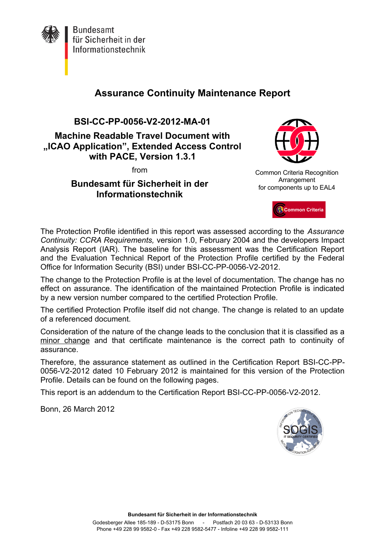

**Bundesamt** für Sicherheit in der Informationstechnik

## **Assurance Continuity Maintenance Report**

**BSI-CC-PP-0056-V2-2012-MA-01**

**Machine Readable Travel Document with "ICAO Application", Extended Access Control with PACE, Version 1.3.1**

from

**Bundesamt für Sicherheit in der Informationstechnik**



Common Criteria Recognition Arrangement for components up to EAL4



The Protection Profile identified in this report was assessed according to the *Assurance Continuity: CCRA Requirements,* version 1.0, February 2004 and the developers Impact Analysis Report (IAR). The baseline for this assessment was the Certification Report and the Evaluation Technical Report of the Protection Profile certified by the Federal Office for Information Security (BSI) under BSI-CC-PP-0056-V2-2012.

The change to the Protection Profile is at the level of documentation. The change has no effect on assurance. The identification of the maintained Protection Profile is indicated by a new version number compared to the certified Protection Profile.

The certified Protection Profile itself did not change. The change is related to an update of a referenced document.

Consideration of the nature of the change leads to the conclusion that it is classified as a minor change and that certificate maintenance is the correct path to continuity of assurance.

Therefore, the assurance statement as outlined in the Certification Report BSI-CC-PP-0056-V2-2012 dated 10 February 2012 is maintained for this version of the Protection Profile. Details can be found on the following pages.

This report is an addendum to the Certification Report BSI-CC-PP-0056-V2-2012.

Bonn, 26 March 2012

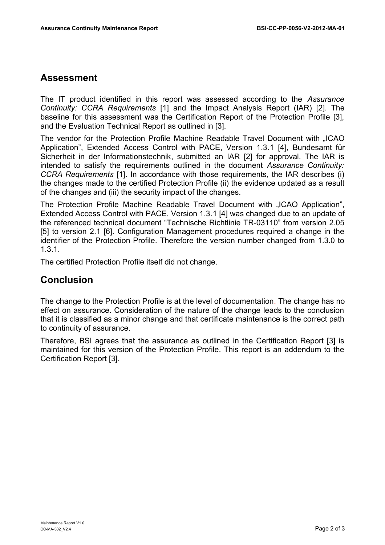## **Assessment**

The IT product identified in this report was assessed according to the *Assurance Continuity: CCRA Requirements* [1] and the Impact Analysis Report (IAR) [2]. The baseline for this assessment was the Certification Report of the Protection Profile [3], and the Evaluation Technical Report as outlined in [3].

The vendor for the Protection Profile Machine Readable Travel Document with "ICAO Application", Extended Access Control with PACE, Version 1.3.1 [4], Bundesamt für Sicherheit in der Informationstechnik, submitted an IAR [2] for approval. The IAR is intended to satisfy the requirements outlined in the document *Assurance Continuity: CCRA Requirements* [1]. In accordance with those requirements, the IAR describes (i) the changes made to the certified Protection Profile (ii) the evidence updated as a result of the changes and (iii) the security impact of the changes.

The Protection Profile Machine Readable Travel Document with "ICAO Application". Extended Access Control with PACE, Version 1.3.1 [4] was changed due to an update of the referenced technical document "Technische Richtlinie TR-03110" from version 2.05 [5] to version 2.1 [6]. Configuration Management procedures required a change in the identifier of the Protection Profile. Therefore the version number changed from 1.3.0 to 1.3.1.

The certified Protection Profile itself did not change.

## **Conclusion**

The change to the Protection Profile is at the level of documentation. The change has no effect on assurance. Consideration of the nature of the change leads to the conclusion that it is classified as a minor change and that certificate maintenance is the correct path to continuity of assurance.

Therefore, BSI agrees that the assurance as outlined in the Certification Report [3] is maintained for this version of the Protection Profile. This report is an addendum to the Certification Report [3].